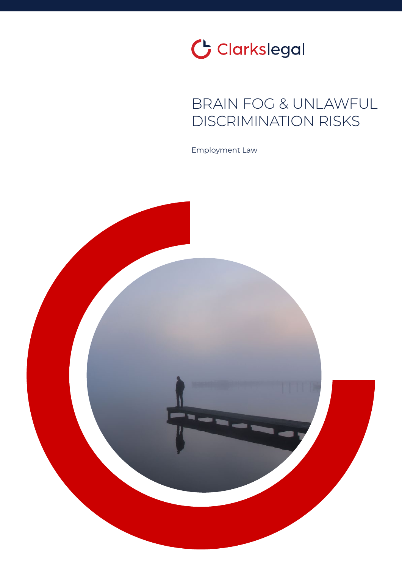

## BRAIN FOG & UNLAWFUL DISCRIMINATION RISKS

Employment Law

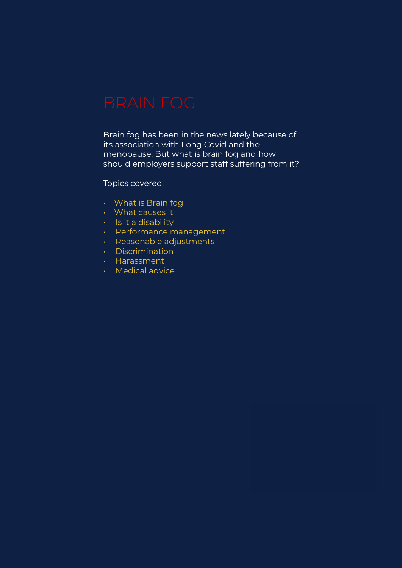Brain fog has been in the news lately because of its association with Long Covid and the menopause. But what is brain fog and how should employers support staff suffering from it?

### Topics covered:

- What is Brain fog
- What causes it
- Is it a disability
- Performance management
- Reasonable adjustments
- Discrimination
- Harassment
- Medical advice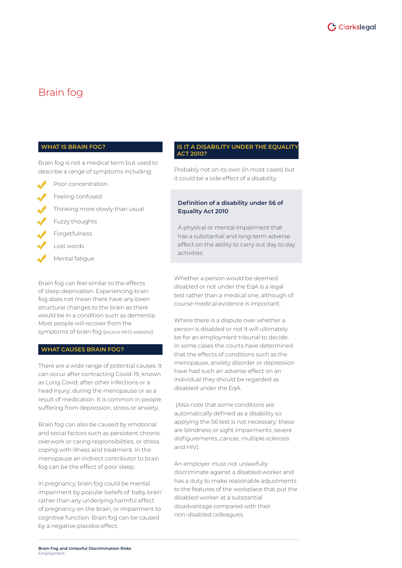

### Brain fog

#### **WHAT IS BRAIN FOG?**

Brain fog is not a medical term but used to describe a range of symptoms including:

- Poor concentration
- Feeling confused
- Thinking more slowly than usual
- Fuzzy thoughts
- Forgetfulness
- Lost words
- Mental fatigue

Brain fog can feel similar to the effects of sleep deprivation. Experiencing brain fog does not mean there have any been structural changes to the brain as there would be in a condition such as dementia. Most people will recover from the symptoms of brain fog (source NHS website).

#### **WHAT CAUSES BRAIN FOG?**

There are a wide range of potential causes. It can occur after contracting Covid-19, known as Long Covid; after other infections or a head injury; during the menopause or as a result of medication. It is common in people suffering from depression, stress or anxiety.

Brain fog can also be caused by emotional and social factors such as persistent chronic overwork or caring responsibilities, or stress coping with illness and treatment. In the menopause an indirect contributor to brain fog can be the effect of poor sleep.

In pregnancy, brain fog could be mental impairment by popular beliefs of 'baby brain' rather than any underlying harmful effect of pregnancy on the brain, or impairment to cognitive function. Brain fog can be caused by a negative placebo effect.

#### **IS IT A DISABILITY UNDER THE EQUALITY ACT 2010?**

Probably not on its own (in most cases) but it could be a side effect of a disability.

#### **Definition of a disability under S6 of Equality Act 2010**

A physical or mental impairment that has a substantial and long-term adverse effect on the ability to carry out day to day activities.

Whether a person would be deemed disabled or not under the EqA is a legal test rather than a medical one, although of course medical evidence is important.

Where there is a dispute over whether a person is disabled or not it will ultimately be for an employment tribunal to decide. In some cases the courts have determined that the effects of conditions such as the menopause, anxiety disorder or depression have had such an adverse effect on an individual they should be regarded as disabled under the EqA.

 (Also note that some conditions are automatically defined as a disability so applying the S6 test is not necessary: these are blindness or sight impairments, severe disfigurements, cancer, multiple sclerosis and HIV).

An employer must not unlawfully discriminate against a disabled worker and has a duty to make reasonable adjustments to the features of the workplace that put the disabled worker at a substantial disadvantage compared with their non-disabled colleagues.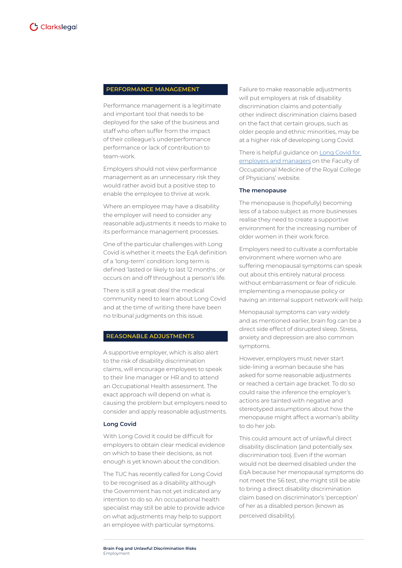#### **PERFORMANCE MANAGEMENT**

Performance management is a legitimate and important tool that needs to be deployed for the sake of the business and staff who often suffer from the impact of their colleague's underperformance performance or lack of contribution to team-work.

Employers should not view performance management as an unnecessary risk they would rather avoid but a positive step to enable the employee to thrive at work.

Where an employee may have a disability the employer will need to consider any reasonable adjustments it needs to make to its performance management processes.

One of the particular challenges with Long Covid is whether it meets the EqA definition of a 'long-term' condition: long term is defined 'lasted or likely to last 12 months ; or occurs on and off throughout a person's life.

There is still a great deal the medical community need to learn about Long Covid and at the time of writing there have been no tribunal judgments on this issue.

#### **REASONABLE ADJUSTMENTS**

A supportive employer, which is also alert to the risk of disability discrimination claims, will encourage employees to speak to their line manager or HR and to attend an Occupational Health assessment. The exact approach will depend on what is causing the problem but employers need to consider and apply reasonable adjustments.

#### **Long Covid**

With Long Covid it could be difficult for employers to obtain clear medical evidence on which to base their decisions, as not enough is yet known about the condition.

The TUC has recently called for Long Covid to be recognised as a disability although the Government has not yet indicated any intention to do so. An occupational health specialist may still be able to provide advice on what adjustments may help to support an employee with particular symptoms.

Failure to make reasonable adjustments will put employers at risk of disability discrimination claims and potentially other indirect discrimination claims based on the fact that certain groups, such as older people and ethnic minorities, may be at a higher risk of developing Long Covid.

There is helpful guidance on [Long Covid for](https://www.fom.ac.uk/covid-19/guidance-for-managers-and-employers-on-facilitating-return-to-work-of-employees-with-long-covid)  [employers and managers](https://www.fom.ac.uk/covid-19/guidance-for-managers-and-employers-on-facilitating-return-to-work-of-employees-with-long-covid) on the Faculty of Occupational Medicine of the Royal College of Physicians' website.

#### **The menopause**

The menopause is (hopefully) becoming less of a taboo subject as more businesses realise they need to create a supportive environment for the increasing number of older women in their work force.

Employers need to cultivate a comfortable environment where women who are suffering menopausal symptoms can speak out about this entirely natural process without embarrassment or fear of ridicule. Implementing a menopause policy or having an internal support network will help.

Menopausal symptoms can vary widely and as mentioned earlier, brain fog can be a direct side effect of disrupted sleep. Stress, anxiety and depression are also common symptoms.

However, employers must never start side-lining a woman because she has asked for some reasonable adjustments or reached a certain age bracket. To do so could raise the inference the employer's actions are tainted with negative and stereotyped assumptions about how the menopause might affect a woman's ability to do her job.

This could amount act of unlawful direct disability disclination (and potentially sex discrimination too). Even if the woman would not be deemed disabled under the EqA because her menopausal symptoms do not meet the S6 test, she might still be able to bring a direct disability discrimination claim based on discriminator's 'perception' of her as a disabled person (known as perceived disability).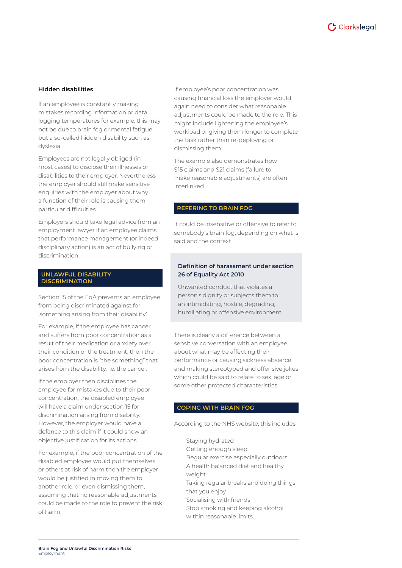

#### **Hidden disabilities**

If an employee is constantly making mistakes recording information or data, logging temperatures for example, this may not be due to brain fog or mental fatigue but a so-called hidden disability such as dyslexia.

Employees are not legally obliged (in most cases) to disclose their illnesses or disabilities to their employer. Nevertheless the employer should still make sensitive enquiries with the employer about why a function of their role is causing them particular difficulties.

Employers should take legal advice from an employment lawyer if an employee claims that performance management (or indeed disciplinary action) is an act of bullying or discrimination.

#### **UNLAWFUL DISABILITY DISCRIMINATION**

Section 15 of the EqA prevents an employee from being discriminated against for 'something arising from their disability'.

For example, if the employee has cancer and suffers from poor concentration as a result of their medication or anxiety over their condition or the treatment, then the poor concentration is "the something" that arises from the disability. i.e. the cancer.

If the employer then disciplines the employee for mistakes due to their poor concentration, the disabled employee will have a claim under section 15 for discrimination arising from disability. However, the employer would have a defence to this claim if it could show an objective justification for its actions.

For example, if the poor concentration of the disabled employee would put themselves or others at risk of harm then the employer would be justified in moving them to another role, or even dismissing them, assuming that no reasonable adjustments could be made to the role to prevent the risk of harm.

If employee's poor concentration was causing financial loss the employer would again need to consider what reasonable adjustments could be made to the role. This might include lightening the employee's workload or giving them longer to complete the task rather than re-deploying or dismissing them.

The example also demonstrates how S15 claims and S21 claims (failure to make reasonable adjustments) are often interlinked.

#### **REFERING TO BRAIN FOG**

It could be insensitive or offensive to refer to somebody's brain fog, depending on what is said and the context.

#### **Definition of harassment under section 26 of Equality Act 2010**

Unwanted conduct that violates a person's dignity or subjects them to an intimidating, hostile, degrading, humiliating or offensive environment.

There is clearly a difference between a sensitive conversation with an employee about what may be affecting their performance or causing sickness absence and making stereotyped and offensive jokes which could be said to relate to sex, age or some other protected characteristics.

#### **COPING WITH BRAIN FOG**

According to the NHS website, this includes:

- Staying hydrated
- Getting enough sleep
- Regular exercise especially outdoors
- A health balanced diet and healthy weight
- Taking regular breaks and doing things that you enjoy
- Socialising with friends
- Stop smoking and keeping alcohol within reasonable limits.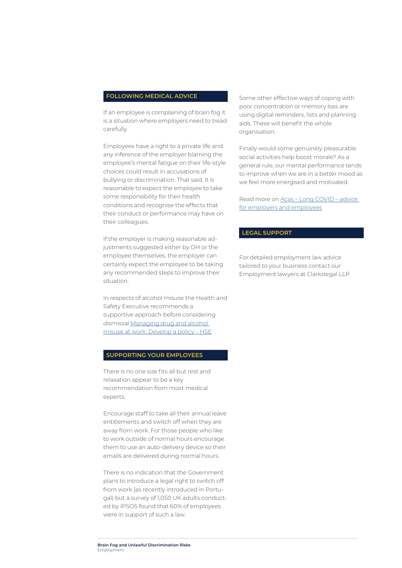#### **FOLLOWING MEDICAL ADVICE**

If an employee is complaining of brain fog it is a situation where employers need to tread carefully.

Employees have a right to a private life and any inference of the employer blaming the employee's mental fatigue on their life-style choices could result in accusations of bullying or discrimination. That said, it is reasonable to expect the employee to take some responsibility for their health conditions and recognise the effects that their conduct or performance may have on their colleagues.

If the employer is making reasonable adjustments suggested either by OH or the employee themselves, the employer can certainly expect the employee to be taking any recommended steps to improve their situation.

In respects of alcohol misuse the Health and Safety Executive recommends a supportive approach before considering dismissal [Managing drug and alcohol](https://www.hse.gov.uk/alcoholdrugs/develop-policy.htm)  [misuse at work: Develop a policy – HSE](https://www.hse.gov.uk/alcoholdrugs/develop-policy.htm)

#### **SUPPORTING YOUR EMPLOYEES**

There is no one size fits all but rest and relaxation appear to be a key recommendation from most medical experts.

Encourage staff to take all their annual leave entitlements and switch off when they are away from work. For those people who like to work outside of normal hours encourage them to use an auto-delivery device so their emails are delivered during normal hours.

There is no indication that the Government plans to introduce a legal right to switch off from work (as recently introduced in Portugal) but a survey of 1,050 UK adults conducted by IPSOS found that 60% of employees were in support of such a law.

Some other effective ways of coping with poor concentration or memory loss are using digital reminders, lists and planning aids. These will benefit the whole organisation.

Finally would some genuinely pleasurable social activities help boost morale? As a general rule, our mental performance tends to improve when we are in a better mood as we feel more energised and motivated.

Read more on [Acas – Long COVID – advice](https://www.acas.org.uk/long-covid)  [for employers and employees](https://www.acas.org.uk/long-covid)

#### **LEGAL SUPPORT**

For detailed employment law advice tailored to your business contact our Employment lawyers at Clarkslegal LLP.